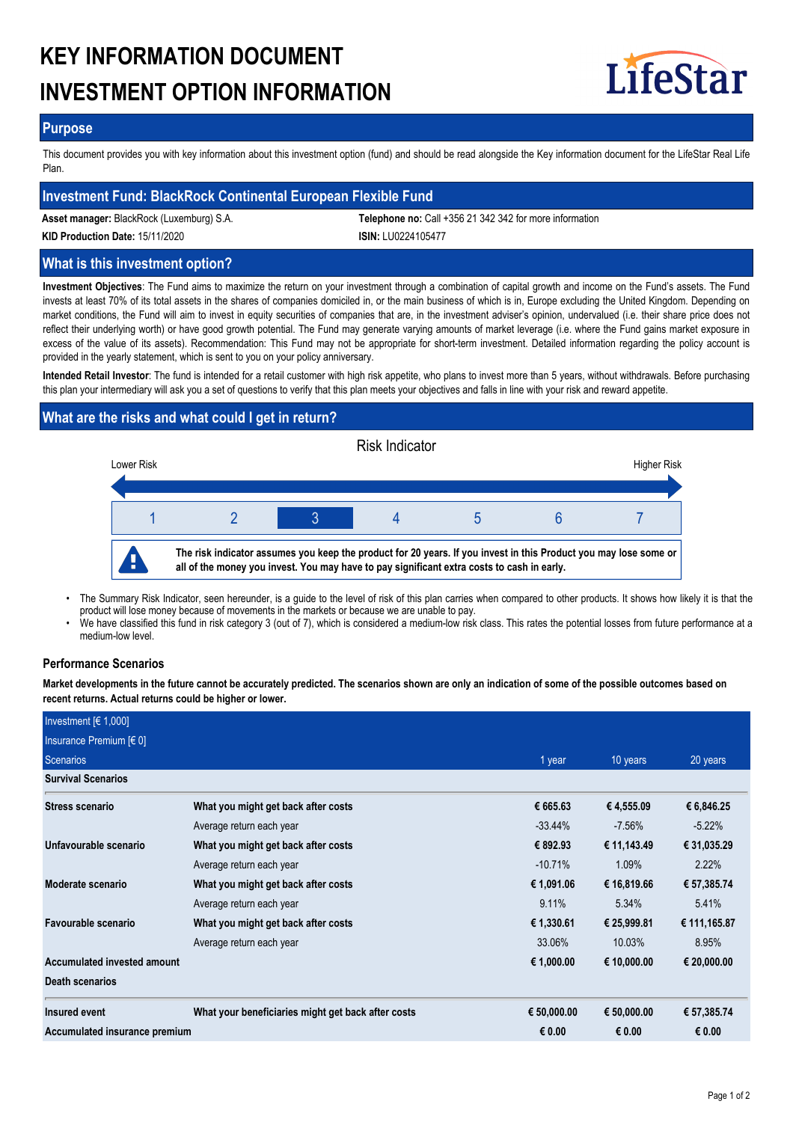# **KEY INFORMATION DOCUMENT INVESTMENT OPTION INFORMATION**



## **Purpose**

This document provides you with key information about this investment option (fund) and should be read alongside the Key information document for the LifeStar Real Life Plan.

## **Investment Fund: BlackRock Continental European Flexible Fund**

**Asset manager:** BlackRock (Luxemburg) S.A. **Telephone no:** Call +356 21 342 342 for more information

**KID Production Date:** 15/11/2020 **ISIN:** LU0224105477

## **What is this investment option?**

**Investment Objectives**: The Fund aims to maximize the return on your investment through a combination of capital growth and income on the Fund's assets. The Fund invests at least 70% of its total assets in the shares of companies domiciled in, or the main business of which is in, Europe excluding the United Kingdom. Depending on market conditions, the Fund will aim to invest in equity securities of companies that are, in the investment adviser's opinion, undervalued (i.e. their share price does not reflect their underlying worth) or have good growth potential. The Fund may generate varying amounts of market leverage (i.e. where the Fund gains market exposure in excess of the value of its assets). Recommendation: This Fund may not be appropriate for short-term investment. Detailed information regarding the policy account is provided in the yearly statement, which is sent to you on your policy anniversary.

**Intended Retail Investor**: The fund is intended for a retail customer with high risk appetite, who plans to invest more than 5 years, without withdrawals. Before purchasing this plan your intermediary will ask you a set of questions to verify that this plan meets your objectives and falls in line with your risk and reward appetite.

# **What are the risks and what could I get in return?**



- The Summary Risk Indicator, seen hereunder, is a guide to the level of risk of this plan carries when compared to other products. It shows how likely it is that the product will lose money because of movements in the markets or because we are unable to pay. •
- We have classified this fund in risk category 3 (out of 7), which is considered a medium-low risk class. This rates the potential losses from future performance at a medium-low level. •

## **Performance Scenarios**

**Market developments in the future cannot be accurately predicted. The scenarios shown are only an indication of some of the possible outcomes based on recent returns. Actual returns could be higher or lower.**

| Investment $[6 1,000]$        |                                                    |             |             |              |
|-------------------------------|----------------------------------------------------|-------------|-------------|--------------|
| Insurance Premium [€ 0]       |                                                    |             |             |              |
| Scenarios                     | 1 year                                             | 10 years    | 20 years    |              |
| <b>Survival Scenarios</b>     |                                                    |             |             |              |
| <b>Stress scenario</b>        | What you might get back after costs                | € 665.63    | € 4,555.09  | € 6,846.25   |
|                               | Average return each year                           | $-33.44\%$  | $-7.56\%$   | $-5.22%$     |
| Unfavourable scenario         | What you might get back after costs                | € 892.93    | € 11,143.49 | € 31,035.29  |
|                               | Average return each year                           | $-10.71%$   | 1.09%       | 2.22%        |
| Moderate scenario             | What you might get back after costs                | € 1,091.06  | € 16,819.66 | € 57,385.74  |
|                               | Average return each year                           | 9.11%       | 5.34%       | 5.41%        |
| Favourable scenario           | What you might get back after costs                | € 1,330.61  | € 25,999.81 | € 111,165.87 |
|                               | Average return each year                           | 33.06%      | 10.03%      | 8.95%        |
| Accumulated invested amount   |                                                    | € 1,000.00  | € 10,000.00 | € 20,000.00  |
| <b>Death scenarios</b>        |                                                    |             |             |              |
| Insured event                 | What your beneficiaries might get back after costs | € 50,000.00 | € 50,000.00 | € 57,385.74  |
| Accumulated insurance premium |                                                    | € 0.00      | € 0.00      | € 0.00       |